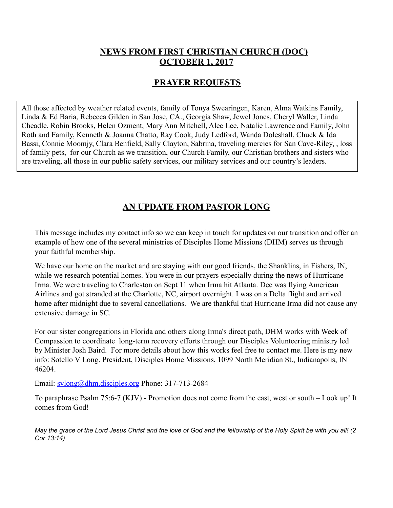#### **NEWS FROM FIRST CHRISTIAN CHURCH (DOC) OCTOBER 1, 2017**

### **PRAYER REQUESTS**

All those affected by weather related events, family of Tonya Swearingen, Karen, Alma Watkins Family, Linda & Ed Baria, Rebecca Gilden in San Jose, CA., Georgia Shaw, Jewel Jones, Cheryl Waller, Linda Cheadle, Robin Brooks, Helen Ozment, Mary Ann Mitchell, Alec Lee, Natalie Lawrence and Family, John Roth and Family, Kenneth & Joanna Chatto, Ray Cook, Judy Ledford, Wanda Doleshall, Chuck & Ida Bassi, Connie Moomjy, Clara Benfield, Sally Clayton, Sabrina, traveling mercies for San Cave-Riley, , loss of family pets, for our Church as we transition, our Church Family, our Christian brothers and sisters who are traveling, all those in our public safety services, our military services and our country's leaders.

# **AN UPDATE FROM PASTOR LONG**

This message includes my contact info so we can keep in touch for updates on our transition and offer an example of how one of the several ministries of Disciples Home Missions (DHM) serves us through your faithful membership.

We have our home on the market and are staying with our good friends, the Shanklins, in Fishers, IN, while we research potential homes. You were in our prayers especially during the news of Hurricane Irma. We were traveling to Charleston on Sept 11 when Irma hit Atlanta. Dee was flying American Airlines and got stranded at the Charlotte, NC, airport overnight. I was on a Delta flight and arrived home after midnight due to several cancellations. We are thankful that Hurricane Irma did not cause any extensive damage in SC.

For our sister congregations in Florida and others along Irma's direct path, DHM works with Week of Compassion to coordinate long-term recovery efforts through our Disciples Volunteering ministry led by Minister Josh Baird. For more details about how this works feel free to contact me. Here is my new info: Sotello V Long. President, Disciples Home Missions, 1099 North Meridian St., Indianapolis, IN 46204.

Email: [svlong@dhm.disciples.org](mailto:svlong@dhm.disciples.org) Phone: 317-713-2684

To paraphrase Psalm 75:6-7 (KJV) - Promotion does not come from the east, west or south – Look up! It comes from God!

*May the grace of the Lord Jesus Christ and the love of God and the fellowship of the Holy Spirit be with you all! (2 Cor 13:14)*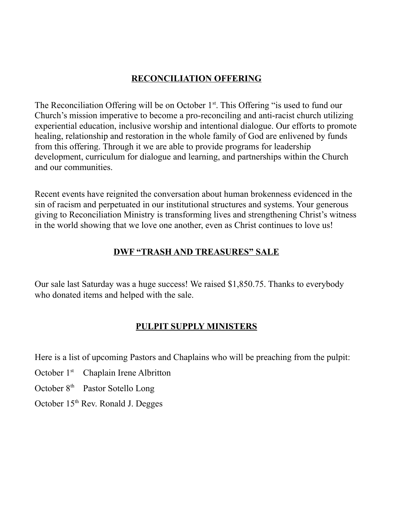## **RECONCILIATION OFFERING**

The Reconciliation Offering will be on October  $1<sup>st</sup>$ . This Offering "is used to fund our Church's mission imperative to become a pro-reconciling and anti-racist church utilizing experiential education, inclusive worship and intentional dialogue. Our efforts to promote healing, relationship and restoration in the whole family of God are enlivened by funds from this offering. Through it we are able to provide programs for leadership development, curriculum for dialogue and learning, and partnerships within the Church and our communities.

Recent events have reignited the conversation about human brokenness evidenced in the sin of racism and perpetuated in our institutional structures and systems. Your generous giving to Reconciliation Ministry is transforming lives and strengthening Christ's witness in the world showing that we love one another, even as Christ continues to love us!

## **DWF "TRASH AND TREASURES" SALE**

Our sale last Saturday was a huge success! We raised \$1,850.75. Thanks to everybody who donated items and helped with the sale.

### **PULPIT SUPPLY MINISTERS**

Here is a list of upcoming Pastors and Chaplains who will be preaching from the pulpit:

- October 1<sup>st</sup> Chaplain Irene Albritton
- October 8<sup>th</sup> Pastor Sotello Long
- October 15<sup>th</sup> Rev. Ronald J. Degges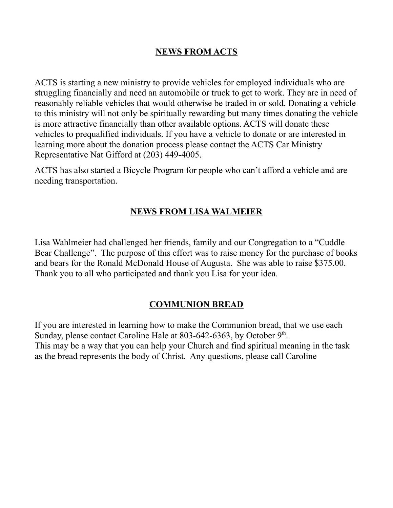### **NEWS FROM ACTS**

ACTS is starting a new ministry to provide vehicles for employed individuals who are struggling financially and need an automobile or truck to get to work. They are in need of reasonably reliable vehicles that would otherwise be traded in or sold. Donating a vehicle to this ministry will not only be spiritually rewarding but many times donating the vehicle is more attractive financially than other available options. ACTS will donate these vehicles to prequalified individuals. If you have a vehicle to donate or are interested in learning more about the donation process please contact the ACTS Car Ministry Representative Nat Gifford at (203) 449-4005.

ACTS has also started a Bicycle Program for people who can't afford a vehicle and are needing transportation.

#### **NEWS FROM LISA WALMEIER**

Lisa Wahlmeier had challenged her friends, family and our Congregation to a "Cuddle Bear Challenge". The purpose of this effort was to raise money for the purchase of books and bears for the Ronald McDonald House of Augusta. She was able to raise \$375.00. Thank you to all who participated and thank you Lisa for your idea.

#### **COMMUNION BREAD**

If you are interested in learning how to make the Communion bread, that we use each Sunday, please contact Caroline Hale at 803-642-6363, by October  $9<sup>th</sup>$ . This may be a way that you can help your Church and find spiritual meaning in the task as the bread represents the body of Christ. Any questions, please call Caroline